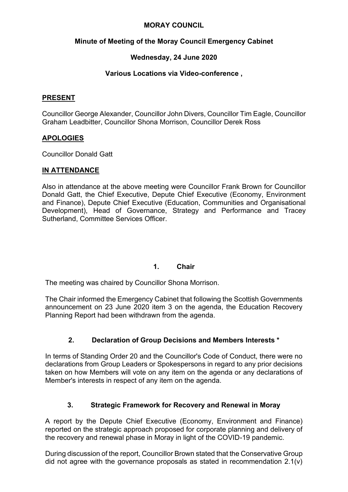## **MORAY COUNCIL**

# **Minute of Meeting of the Moray Council Emergency Cabinet**

# **Wednesday, 24 June 2020**

# **Various Locations via Video-conference ,**

#### **PRESENT**

Councillor George Alexander, Councillor John Divers, Councillor Tim Eagle, Councillor Graham Leadbitter, Councillor Shona Morrison, Councillor Derek Ross

## **APOLOGIES**

Councillor Donald Gatt

## **IN ATTENDANCE**

Also in attendance at the above meeting were Councillor Frank Brown for Councillor Donald Gatt, the Chief Executive, Depute Chief Executive (Economy, Environment and Finance), Depute Chief Executive (Education, Communities and Organisational Development), Head of Governance, Strategy and Performance and Tracey Sutherland, Committee Services Officer.

#### **1. Chair**

The meeting was chaired by Councillor Shona Morrison.

The Chair informed the Emergency Cabinet that following the Scottish Governments announcement on 23 June 2020 item 3 on the agenda, the Education Recovery Planning Report had been withdrawn from the agenda.

# **2. Declaration of Group Decisions and Members Interests \***

In terms of Standing Order 20 and the Councillor's Code of Conduct, there were no declarations from Group Leaders or Spokespersons in regard to any prior decisions taken on how Members will vote on any item on the agenda or any declarations of Member's interests in respect of any item on the agenda.

# **3. Strategic Framework for Recovery and Renewal in Moray**

A report by the Depute Chief Executive (Economy, Environment and Finance) reported on the strategic approach proposed for corporate planning and delivery of the recovery and renewal phase in Moray in light of the COVID-19 pandemic.

During discussion of the report, Councillor Brown stated that the Conservative Group did not agree with the governance proposals as stated in recommendation 2.1(v)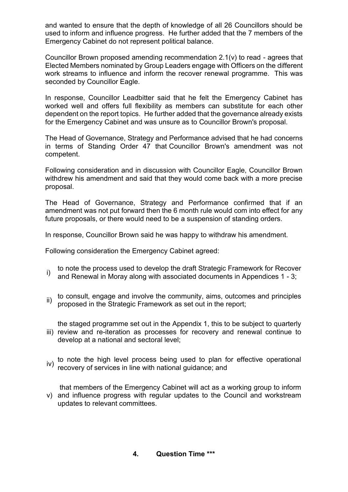and wanted to ensure that the depth of knowledge of all 26 Councillors should be used to inform and influence progress. He further added that the 7 members of the Emergency Cabinet do not represent political balance.

Councillor Brown proposed amending recommendation 2.1(v) to read - agrees that Elected Members nominated by Group Leaders engage with Officers on the different work streams to influence and inform the recover renewal programme. This was seconded by Councillor Eagle.

In response, Councillor Leadbitter said that he felt the Emergency Cabinet has worked well and offers full flexibility as members can substitute for each other dependent on the report topics. He further added that the governance already exists for the Emergency Cabinet and was unsure as to Councillor Brown's proposal.

The Head of Governance, Strategy and Performance advised that he had concerns in terms of Standing Order 47 that Councillor Brown's amendment was not competent.

Following consideration and in discussion with Councillor Eagle, Councillor Brown withdrew his amendment and said that they would come back with a more precise proposal.

The Head of Governance, Strategy and Performance confirmed that if an amendment was not put forward then the 6 month rule would com into effect for any future proposals, or there would need to be a suspension of standing orders.

In response, Councillor Brown said he was happy to withdraw his amendment.

Following consideration the Emergency Cabinet agreed:

- i) to note the process used to develop the draft Strategic Framework for Recover and Renewal in Moray along with associated documents in Appendices 1 - 3;
- ii) to consult, engage and involve the community, aims, outcomes and principles  $\overline{ii}$  proposed in the Strategic Economics's as act and in the second proposed in the Strategic Framework as set out in the report;
- iii) review and re-iteration as processes for recovery and renewal continue to the staged programme set out in the Appendix 1, this to be subject to quarterly develop at a national and sectoral level;
- iv) to note the high level process being used to plan for effective operational recovery of services in line with national guidance; and

v) and influence progress with regular updates to the Council and workstream that members of the Emergency Cabinet will act as a working group to inform updates to relevant committees.

#### **4. Question Time \*\*\***